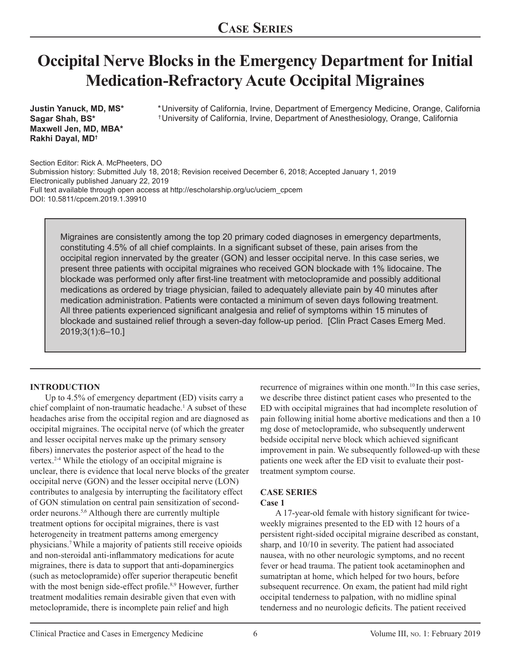# **Occipital Nerve Blocks in the Emergency Department for Initial Medication-Refractory Acute Occipital Migraines**

**Justin Yanuck, MD, MS\* Sagar Shah, BS\* Maxwell Jen, MD, MBA\* Rakhi Dayal, MD†**

University of California, Irvine, Department of Emergency Medicine, Orange, California \* University of California, Irvine, Department of Anesthesiology, Orange, California †

Section Editor: Rick A. McPheeters, DO Submission history: Submitted July 18, 2018; Revision received December 6, 2018; Accepted January 1, 2019 Electronically published January 22, 2019 Full text available through open access at http://escholarship.org/uc/uciem\_cpcem DOI: 10.5811/cpcem.2019.1.39910

Migraines are consistently among the top 20 primary coded diagnoses in emergency departments, constituting 4.5% of all chief complaints. In a significant subset of these, pain arises from the occipital region innervated by the greater (GON) and lesser occipital nerve. In this case series, we present three patients with occipital migraines who received GON blockade with 1% lidocaine. The blockade was performed only after first-line treatment with metoclopramide and possibly additional medications as ordered by triage physician, failed to adequately alleviate pain by 40 minutes after medication administration. Patients were contacted a minimum of seven days following treatment. All three patients experienced significant analgesia and relief of symptoms within 15 minutes of blockade and sustained relief through a seven-day follow-up period. [Clin Pract Cases Emerg Med. 2019;3(1):6–10.]

### **INTRODUCTION**

Up to 4.5% of emergency department (ED) visits carry a chief complaint of non-traumatic headache.1 A subset of these headaches arise from the occipital region and are diagnosed as occipital migraines. The occipital nerve (of which the greater and lesser occipital nerves make up the primary sensory fibers) innervates the posterior aspect of the head to the vertex.2-4 While the etiology of an occipital migraine is unclear, there is evidence that local nerve blocks of the greater occipital nerve (GON) and the lesser occipital nerve (LON) contributes to analgesia by interrupting the facilitatory effect of GON stimulation on central pain sensitization of secondorder neurons.5,6 Although there are currently multiple treatment options for occipital migraines, there is vast heterogeneity in treatment patterns among emergency physicians.7 While a majority of patients still receive opioids and non-steroidal anti-inflammatory medications for acute migraines, there is data to support that anti-dopaminergics (such as metoclopramide) offer superior therapeutic benefit with the most benign side-effect profile.<sup>8,9</sup> However, further treatment modalities remain desirable given that even with metoclopramide, there is incomplete pain relief and high

recurrence of migraines within one month.<sup>10</sup> In this case series, we describe three distinct patient cases who presented to the ED with occipital migraines that had incomplete resolution of pain following initial home abortive medications and then a 10 mg dose of metoclopramide, who subsequently underwent bedside occipital nerve block which achieved significant improvement in pain. We subsequently followed-up with these patients one week after the ED visit to evaluate their posttreatment symptom course.

### **CASE SERIES**

#### **Case 1**

A 17-year-old female with history significant for twiceweekly migraines presented to the ED with 12 hours of a persistent right-sided occipital migraine described as constant, sharp, and 10/10 in severity. The patient had associated nausea, with no other neurologic symptoms, and no recent fever or head trauma. The patient took acetaminophen and sumatriptan at home, which helped for two hours, before subsequent recurrence. On exam, the patient had mild right occipital tenderness to palpation, with no midline spinal tenderness and no neurologic deficits. The patient received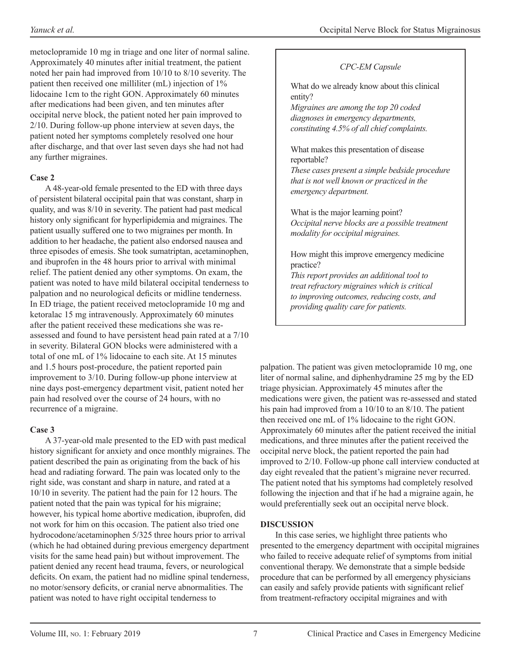metoclopramide 10 mg in triage and one liter of normal saline. Approximately 40 minutes after initial treatment, the patient noted her pain had improved from 10/10 to 8/10 severity. The patient then received one milliliter (mL) injection of 1% lidocaine 1cm to the right GON. Approximately 60 minutes after medications had been given, and ten minutes after occipital nerve block, the patient noted her pain improved to 2/10. During follow-up phone interview at seven days, the patient noted her symptoms completely resolved one hour after discharge, and that over last seven days she had not had any further migraines.

## **Case 2**

A 48-year-old female presented to the ED with three days of persistent bilateral occipital pain that was constant, sharp in quality, and was 8/10 in severity. The patient had past medical history only significant for hyperlipidemia and migraines. The patient usually suffered one to two migraines per month. In addition to her headache, the patient also endorsed nausea and three episodes of emesis. She took sumatriptan, acetaminophen, and ibuprofen in the 48 hours prior to arrival with minimal relief. The patient denied any other symptoms. On exam, the patient was noted to have mild bilateral occipital tenderness to palpation and no neurological deficits or midline tenderness. In ED triage, the patient received metoclopramide 10 mg and ketoralac 15 mg intravenously. Approximately 60 minutes after the patient received these medications she was reassessed and found to have persistent head pain rated at a 7/10 in severity. Bilateral GON blocks were administered with a total of one mL of 1% lidocaine to each site. At 15 minutes and 1.5 hours post-procedure, the patient reported pain improvement to 3/10. During follow-up phone interview at nine days post-emergency department visit, patient noted her pain had resolved over the course of 24 hours, with no recurrence of a migraine.

### **Case 3**

A 37-year-old male presented to the ED with past medical history significant for anxiety and once monthly migraines. The patient described the pain as originating from the back of his head and radiating forward. The pain was located only to the right side, was constant and sharp in nature, and rated at a 10/10 in severity. The patient had the pain for 12 hours. The patient noted that the pain was typical for his migraine; however, his typical home abortive medication, ibuprofen, did not work for him on this occasion. The patient also tried one hydrocodone/acetaminophen 5/325 three hours prior to arrival (which he had obtained during previous emergency department visits for the same head pain) but without improvement. The patient denied any recent head trauma, fevers, or neurological deficits. On exam, the patient had no midline spinal tenderness, no motor/sensory deficits, or cranial nerve abnormalities. The patient was noted to have right occipital tenderness to

## *CPC-EM Capsule*

What do we already know about this clinical entity?

*Migraines are among the top 20 coded diagnoses in emergency departments, constituting 4.5% of all chief complaints.*

What makes this presentation of disease reportable?

*These cases present a simple bedside procedure that is not well known or practiced in the emergency department.*

What is the major learning point? *Occipital nerve blocks are a possible treatment modality for occipital migraines.*

How might this improve emergency medicine practice?

*This report provides an additional tool to treat refractory migraines which is critical to improving outcomes, reducing costs, and providing quality care for patients.*

palpation. The patient was given metoclopramide 10 mg, one liter of normal saline, and diphenhydramine 25 mg by the ED triage physician. Approximately 45 minutes after the medications were given, the patient was re-assessed and stated his pain had improved from a 10/10 to an 8/10. The patient then received one mL of 1% lidocaine to the right GON. Approximately 60 minutes after the patient received the initial medications, and three minutes after the patient received the occipital nerve block, the patient reported the pain had improved to 2/10. Follow-up phone call interview conducted at day eight revealed that the patient's migraine never recurred. The patient noted that his symptoms had completely resolved following the injection and that if he had a migraine again, he would preferentially seek out an occipital nerve block.

### **DISCUSSION**

In this case series, we highlight three patients who presented to the emergency department with occipital migraines who failed to receive adequate relief of symptoms from initial conventional therapy. We demonstrate that a simple bedside procedure that can be performed by all emergency physicians can easily and safely provide patients with significant relief from treatment-refractory occipital migraines and with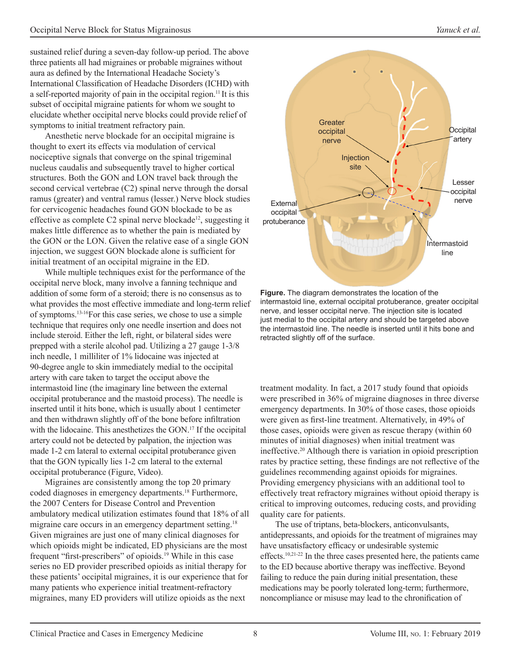sustained relief during a seven-day follow-up period. The above three patients all had migraines or probable migraines without aura as defined by the International Headache Society's International Classification of Headache Disorders (ICHD) with a self-reported majority of pain in the occipital region.11 It is this subset of occipital migraine patients for whom we sought to elucidate whether occipital nerve blocks could provide relief of symptoms to initial treatment refractory pain.

Anesthetic nerve blockade for an occipital migraine is thought to exert its effects via modulation of cervical nociceptive signals that converge on the spinal trigeminal nucleus caudalis and subsequently travel to higher cortical structures. Both the GON and LON travel back through the second cervical vertebrae (C2) spinal nerve through the dorsal ramus (greater) and ventral ramus (lesser.) Nerve block studies for cervicogenic headaches found GON blockade to be as effective as complete C2 spinal nerve blockade<sup>12</sup>, suggesting it makes little difference as to whether the pain is mediated by the GON or the LON. Given the relative ease of a single GON injection, we suggest GON blockade alone is sufficient for initial treatment of an occipital migraine in the ED.

While multiple techniques exist for the performance of the occipital nerve block, many involve a fanning technique and addition of some form of a steroid; there is no consensus as to what provides the most effective immediate and long-term relief of symptoms.13-16For this case series, we chose to use a simple technique that requires only one needle insertion and does not include steroid. Either the left, right, or bilateral sides were prepped with a sterile alcohol pad. Utilizing a 27 gauge 1-3/8 inch needle, 1 milliliter of 1% lidocaine was injected at 90-degree angle to skin immediately medial to the occipital artery with care taken to target the occiput above the intermastoid line (the imaginary line between the external occipital protuberance and the mastoid process). The needle is inserted until it hits bone, which is usually about 1 centimeter and then withdrawn slightly off of the bone before infiltration with the lidocaine. This anesthetizes the GON.<sup>17</sup> If the occipital artery could not be detected by palpation, the injection was made 1-2 cm lateral to external occipital protuberance given that the GON typically lies 1-2 cm lateral to the external occipital protuberance (Figure, Video).

Migraines are consistently among the top 20 primary coded diagnoses in emergency departments.18 Furthermore, the 2007 Centers for Disease Control and Prevention ambulatory medical utilization estimates found that 18% of all migraine care occurs in an emergency department setting.<sup>18</sup> Given migraines are just one of many clinical diagnoses for which opioids might be indicated, ED physicians are the most frequent "first-prescribers" of opioids.19 While in this case series no ED provider prescribed opioids as initial therapy for these patients' occipital migraines, it is our experience that for many patients who experience initial treatment-refractory migraines, many ED providers will utilize opioids as the next



**Figure.** The diagram demonstrates the location of the intermastoid line, external occipital protuberance, greater occipital nerve, and lesser occipital nerve. The injection site is located just medial to the occipital artery and should be targeted above the intermastoid line. The needle is inserted until it hits bone and retracted slightly off of the surface.

treatment modality. In fact, a 2017 study found that opioids were prescribed in 36% of migraine diagnoses in three diverse emergency departments. In 30% of those cases, those opioids were given as first-line treatment. Alternatively, in 49% of those cases, opioids were given as rescue therapy (within 60 minutes of initial diagnoses) when initial treatment was ineffective.20 Although there is variation in opioid prescription rates by practice setting, these findings are not reflective of the guidelines recommending against opioids for migraines. Providing emergency physicians with an additional tool to effectively treat refractory migraines without opioid therapy is critical to improving outcomes, reducing costs, and providing quality care for patients.

The use of triptans, beta-blockers, anticonvulsants, antidepressants, and opioids for the treatment of migraines may have unsatisfactory efficacy or undesirable systemic effects.10,21-22 In the three cases presented here, the patients came to the ED because abortive therapy was ineffective. Beyond failing to reduce the pain during initial presentation, these medications may be poorly tolerated long-term; furthermore, noncompliance or misuse may lead to the chronification of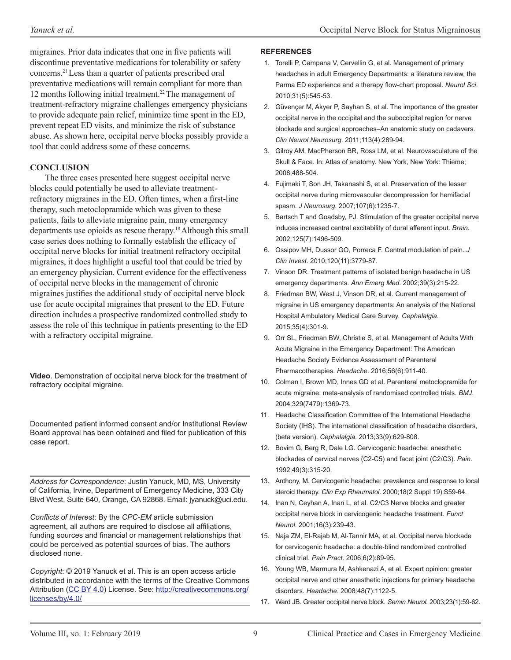migraines. Prior data indicates that one in five patients will discontinue preventative medications for tolerability or safety concerns.21 Less than a quarter of patients prescribed oral preventative medications will remain compliant for more than 12 months following initial treatment.22 The management of treatment-refractory migraine challenges emergency physicians to provide adequate pain relief, minimize time spent in the ED, prevent repeat ED visits, and minimize the risk of substance abuse. As shown here, occipital nerve blocks possibly provide a tool that could address some of these concerns.

### **CONCLUSION**

The three cases presented here suggest occipital nerve blocks could potentially be used to alleviate treatmentrefractory migraines in the ED. Often times, when a first-line therapy, such metoclopramide which was given to these patients, fails to alleviate migraine pain, many emergency departments use opioids as rescue therapy.18 Although this small case series does nothing to formally establish the efficacy of occipital nerve blocks for initial treatment refractory occipital migraines, it does highlight a useful tool that could be tried by an emergency physician. Current evidence for the effectiveness of occipital nerve blocks in the management of chronic migraines justifies the additional study of occipital nerve block use for acute occipital migraines that present to the ED. Future direction includes a prospective randomized controlled study to assess the role of this technique in patients presenting to the ED with a refractory occipital migraine.

**Video**. Demonstration of occipital nerve block for the treatment of refractory occipital migraine.

Documented patient informed consent and/or Institutional Review Board approval has been obtained and filed for publication of this case report.

*Address for Correspondence*: Justin Yanuck, MD, MS, University of California, Irvine, Department of Emergency Medicine, 333 City Blvd West, Suite 640, Orange, CA 92868. Email: jyanuck@uci.edu.

*Conflicts of Interest*: By the *CPC-EM* article submission agreement, all authors are required to disclose all affiliations, funding sources and financial or management relationships that could be perceived as potential sources of bias. The authors disclosed none.

*Copyright*: © 2019 Yanuck et al. This is an open access article distributed in accordance with the terms of the Creative Commons Attribution [\(CC BY 4.0](http://creativecommons.org/licenses/by/4.0/)) License. See: [http://creativecommons.org/](http://creativecommons.org/licenses/by/4.0/) [licenses/by/4.0/](http://creativecommons.org/licenses/by/4.0/)

#### **REFERENCES**

- 1. Torelli P, Campana V, Cervellin G, et al. Management of primary headaches in adult Emergency Departments: a literature review, the Parma ED experience and a therapy flow-chart proposal. *Neurol Sci*. 2010;31(5):545-53.
- 2. Güvençer M, Akyer P, Sayhan S, et al. The importance of the greater occipital nerve in the occipital and the suboccipital region for nerve blockade and surgical approaches–An anatomic study on cadavers. *Clin Neurol Neurosurg*. 2011;113(4):289-94.
- 3. Gilroy AM, MacPherson BR, Ross LM, et al. Neurovasculature of the Skull & Face. In: Atlas of anatomy. New York, New York: Thieme; 2008;488-504.
- 4. Fujimaki T, Son JH, Takanashi S, et al. Preservation of the lesser occipital nerve during microvascular decompression for hemifacial spasm. *J Neurosurg.* 2007;107(6):1235-7.
- 5. Bartsch T and Goadsby, PJ. Stimulation of the greater occipital nerve induces increased central excitability of dural afferent input. *Brain*. 2002;125(7):1496-509.
- 6. Ossipov MH, Dussor GO, Porreca F. Central modulation of pain. *J Clin Invest*. 2010;120(11):3779-87.
- 7. Vinson DR. Treatment patterns of isolated benign headache in US emergency departments. *Ann Emerg Med*. 2002;39(3):215-22.
- 8. Friedman BW, West J, Vinson DR, et al. Current management of migraine in US emergency departments: An analysis of the National Hospital Ambulatory Medical Care Survey. *Cephalalgia*. 2015;35(4):301-9.
- 9. Orr SL, Friedman BW, Christie S, et al. Management of Adults With Acute Migraine in the Emergency Department: The American Headache Society Evidence Assessment of Parenteral Pharmacotherapies. *Headache*. 2016;56(6):911-40.
- 10. Colman I, Brown MD, Innes GD et al. Parenteral metoclopramide for acute migraine: meta-analysis of randomised controlled trials. *BMJ*. 2004;329(7479):1369-73.
- 11. Headache Classification Committee of the International Headache Society (IHS). The international classification of headache disorders, (beta version). *Cephalalgia*. 2013;33(9):629-808.
- 12. Bovim G, Berg R, Dale LG. Cervicogenic headache: anesthetic blockades of cervical nerves (C2-C5) and facet joint (C2/C3). *Pain*. 1992;49(3):315-20.
- 13. Anthony, M. Cervicogenic headache: prevalence and response to local steroid therapy. *Clin Exp Rheumatol*. 2000;18(2 Suppl 19):S59-64.
- 14. Inan N, Ceyhan A, Inan L, et al. C2/C3 Nerve blocks and greater occipital nerve block in cervicogenic headache treatment. *Funct Neurol*. 2001;16(3):239-43.
- 15. Naja ZM, El‐Rajab M, Al‐Tannir MA, et al. Occipital nerve blockade for cervicogenic headache: a double‐blind randomized controlled clinical trial. *Pain Pract*. 2006;6(2):89-95.
- 16. Young WB, Marmura M, Ashkenazi A, et al. Expert opinion: greater occipital nerve and other anesthetic injections for primary headache disorders. *Headache*. 2008*;*48(7):1122-5.
- 17. Ward JB. Greater occipital nerve block. *Semin Neurol.* 2003;23(1):59-62.